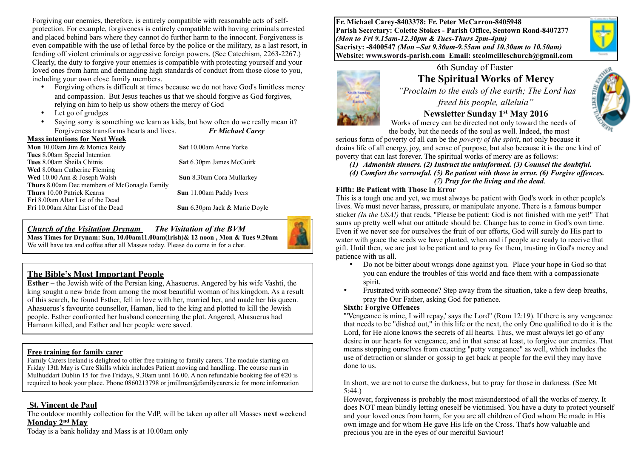Forgiving our enemies, therefore, is entirely compatible with reasonable acts of selfprotection. For example, forgiveness is entirely compatible with having criminals arrested and placed behind bars where they cannot do further harm to the innocent. Forgiveness is even compatible with the use of lethal force by the police or the military, as a last resort, in fending off violent criminals or aggressive foreign powers. (See Catechism, 2263-2267.) Clearly, the duty to forgive your enemies is compatible with protecting yourself and your loved ones from harm and demanding high standards of conduct from those close to you, including your own close family members.

- Forgiving others is difficult at times because we do not have God's limitless mercy and compassion. But Jesus teaches us that we should forgive as God forgives, relying on him to help us show others the mercy of God
- Let go of grudges
- Saying sorry is something we learn as kids, but how often do we really mean it? Forgiveness transforms hearts and lives. *Fr Michael Carey*

**Mass intentions for Next Week Mon** 10.00am Jim & Monica Reidy **Sat 10.00am Anne Yorke Tues** 8.00am Special Intention **Tues** 8.00am Sheila Chitnis **Sat** 6.30pm James McGuirk **Wed** 8.00am Catherine Fleming **Wed** 10.00 Ann & Joseph Walsh **Sun** 8.30am Cora Mullarkey **Thurs** 8.00am Dec members of McGonagle Family **Thurs** 10.00 Patrick Kearns **Sun** 11.00am Paddy Ivers **Fri** 8.00am Altar List of the Dead **Fri** 10.00am Altar List of the Dead **Sun** 6.30pm Jack & Marie Doyle

*Church of the Visitation Drynam**The Visitation of the BVM* **Mass Times for Drynam: Sun, 10.00am11.00am(Irish)& 12 noon , Mon & Tues 9.20am**  We will have tea and coffee after all Masses today. Please do come in for a chat.

## **The Bible's Most Important People**

**Esther** – the Jewish wife of the Persian king, Ahasuerus. Angered by his wife Vashti, the king sought a new bride from among the most beautiful woman of his kingdom. As a result of this search, he found Esther, fell in love with her, married her, and made her his queen. Ahasuerus's favourite counsellor, Haman, lied to the king and plotted to kill the Jewish people. Esther confronted her husband concerning the plot. Angered, Ahasuerus had Hamann killed, and Esther and her people were saved.

#### **Free training for family carer**

Family Carers Ireland is delighted to offer free training to family carers. The module starting on Friday 13th May is Care Skills which includes Patient moving and handling. The course runs in Mulhuddart Dublin 15 for five Fridays, 9.30am until 16.00. A non refundable booking fee of  $\epsilon$ 20 is required to book your place. Phone 0860213798 or jmillman@familycarers.ie for more information

#### **St. Vincent de Paul**

The outdoor monthly collection for the VdP, will be taken up after all Masses **next** weekend **Monday 2nd May** 

Today is a bank holiday and Mass is at 10.00am only

**Fr. Michael Carey-8403378: Fr. Peter McCarron-8405948 Parish Secretary: Colette Stokes - Parish Office, Seatown Road-8407277**  *(Mon to Fri 9.15am-12.30pm & Tues-Thurs 2pm-4pm)*  **Sacristy: -8400547** *(Mon –Sat 9.30am-9.55am and 10.30am to 10.50am)* **Website: [www.swords-parish.com Email:](http://www.swords-parish.com%20%20email) stcolmcilleschurch@gmail.com**





#### *freed his people, alleluia"*  **Newsletter Sunday 1st May 2016**

 Works of mercy can be directed not only toward the needs of the body, but the needs of the soul as well. Indeed, the most

serious form of poverty of all can be the *poverty of the spirit*, not only because it drains life of all energy, joy, and sense of purpose, but also because it is the one kind of poverty that can last forever. The spiritual works of mercy are as follows:

*(1) Admonish sinners. (2) Instruct the uninformed. (3) Counsel the doubtful. (4) Comfort the sorrowful. (5) Be patient with those in error. (6) Forgive offences. (7) Pray for the living and the dead*.

#### **Fifth: Be Patient with Those in Error**

This is a tough one and yet, we must always be patient with God's work in other people's lives. We must never harass, pressure, or manipulate anyone. There is a famous bumper sticker *(In the USA!)* that reads, "Please be patient: God is not finished with me yet!" That sums up pretty well what our attitude should be. Change has to come in God's own time. Even if we never see for ourselves the fruit of our efforts, God will surely do His part to water with grace the seeds we have planted, when and if people are ready to receive that gift. Until then, we are just to be patient and to pray for them, trusting in God's mercy and patience with us all.

- Do not be bitter about wrongs done against you. Place your hope in God so that you can endure the troubles of this world and face them with a compassionate spirit.
- Frustrated with someone? Step away from the situation, take a few deep breaths, pray the Our Father, asking God for patience.

#### **Sixth: Forgive Offences**

"'Vengeance is mine, I will repay,' says the Lord" (Rom 12:19). If there is any vengeance that needs to be "dished out," in this life or the next, the only One qualified to do it is the Lord, for He alone knows the secrets of all hearts. Thus, we must always let go of any desire in our hearts for vengeance, and in that sense at least, to forgive our enemies. That means stopping ourselves from exacting "petty vengeance" as well, which includes the use of detraction or slander or gossip to get back at people for the evil they may have done to us.

In short, we are not to curse the darkness, but to pray for those in darkness. (See Mt 5:44.)

However, forgiveness is probably the most misunderstood of all the works of mercy. It does NOT mean blindly letting oneself be victimised. You have a duty to protect yourself and your loved ones from harm, for you are all children of God whom He made in His own image and for whom He gave His life on the Cross. That's how valuable and precious you are in the eyes of our merciful Saviour!